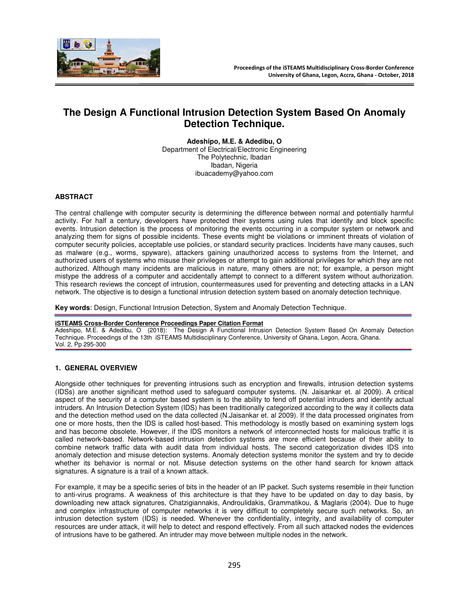

# **The Design A Functional Intrusion Detection System Based On Anomaly Detection Technique.**

**Adeshipo, M.E. & Adedibu, O**  Department of Electrical/Electronic Engineering The Polytechnic, Ibadan Ibadan, Nigeria ibuacademy@yahoo.com

#### **ABSTRACT**

The central challenge with computer security is determining the difference between normal and potentially harmful activity. For half a century, developers have protected their systems using rules that identify and block specific events. Intrusion detection is the process of monitoring the events occurring in a computer system or network and analyzing them for signs of possible incidents. These events might be violations or imminent threats of violation of computer security policies, acceptable use policies, or standard security practices. Incidents have many causes, such as malware (e.g., worms, spyware), attackers gaining unauthorized access to systems from the Internet, and authorized users of systems who misuse their privileges or attempt to gain additional privileges for which they are not authorized. Although many incidents are malicious in nature, many others are not; for example, a person might mistype the address of a computer and accidentally attempt to connect to a different system without authorization. This research reviews the concept of intrusion, countermeasures used for preventing and detecting attacks in a LAN network. The objective is to design a functional intrusion detection system based on anomaly detection technique.

**Key words**: Design, Functional Intrusion Detection, System and Anomaly Detection Technique.

#### **iSTEAMS Cross-Border Conference Proceedings Paper Citation Format**

Adeshipo, M.E. & Adedibu, O (2018): The Design A Functional Intrusion Detection System Based On Anomaly Detection Technique. Proceedings of the 13th iSTEAMS Multidisciplinary Conference, University of Ghana, Legon, Accra, Ghana. Vol. 2, Pp 295-300

#### **1. GENERAL OVERVIEW**

Alongside other techniques for preventing intrusions such as encryption and firewalls, intrusion detection systems (IDSs) are another significant method used to safeguard computer systems. (N. Jaisankar et. al 2009). A critical aspect of the security of a computer based system is to the ability to fend off potential intruders and identify actual intruders. An Intrusion Detection System (IDS) has been traditionally categorized according to the way it collects data and the detection method used on the data collected (N.Jaisankar et. al 2009). If the data processed originates from one or more hosts, then the IDS is called host-based. This methodology is mostly based on examining system logs and has become obsolete. However, if the IDS monitors a network of interconnected hosts for malicious traffic it is called network-based. Network-based intrusion detection systems are more efficient because of their ability to combine network traffic data with audit data from individual hosts. The second categorization divides IDS into anomaly detection and misuse detection systems. Anomaly detection systems monitor the system and try to decide whether its behavior is normal or not. Misuse detection systems on the other hand search for known attack signatures. A signature is a trail of a known attack.

For example, it may be a specific series of bits in the header of an IP packet. Such systems resemble in their function to anti-virus programs. A weakness of this architecture is that they have to be updated on day to day basis, by downloading new attack signatures, Chatzigiannakis, Androulidakis, Grammatikou, & Maglaris (2004). Due to huge and complex infrastructure of computer networks it is very difficult to completely secure such networks. So, an intrusion detection system (IDS) is needed. Whenever the confidentiality, integrity, and availability of computer resources are under attack, it will help to detect and respond effectively. From all such attacked nodes the evidences of intrusions have to be gathered. An intruder may move between multiple nodes in the network.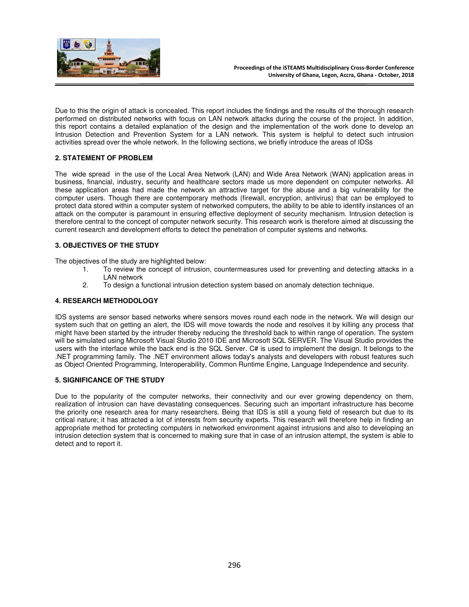

Due to this the origin of attack is concealed. This report includes the findings and the results of the thorough research performed on distributed networks with focus on LAN network attacks during the course of the project. In addition, this report contains a detailed explanation of the design and the implementation of the work done to develop an Intrusion Detection and Prevention System for a LAN network. This system is helpful to detect such intrusion activities spread over the whole network. In the following sections, we briefly introduce the areas of IDSs

## **2. STATEMENT OF PROBLEM**

The wide spread in the use of the Local Area Network (LAN) and Wide Area Network (WAN) application areas in business, financial, industry, security and healthcare sectors made us more dependent on computer networks. All these application areas had made the network an attractive target for the abuse and a big vulnerability for the computer users. Though there are contemporary methods (firewall, encryption, antivirus) that can be employed to protect data stored within a computer system of networked computers, the ability to be able to identify instances of an attack on the computer is paramount in ensuring effective deployment of security mechanism. Intrusion detection is therefore central to the concept of computer network security. This research work is therefore aimed at discussing the current research and development efforts to detect the penetration of computer systems and networks.

### **3. OBJECTIVES OF THE STUDY**

The objectives of the study are highlighted below:

- 1. To review the concept of intrusion, countermeasures used for preventing and detecting attacks in a LAN network
- 2. To design a functional intrusion detection system based on anomaly detection technique.

#### **4. RESEARCH METHODOLOGY**

IDS systems are sensor based networks where sensors moves round each node in the network. We will design our system such that on getting an alert, the IDS will move towards the node and resolves it by killing any process that might have been started by the intruder thereby reducing the threshold back to within range of operation. The system will be simulated using Microsoft Visual Studio 2010 IDE and Microsoft SQL SERVER. The Visual Studio provides the users with the interface while the back end is the SQL Server. C# is used to implement the design. It belongs to the .NET programming family. The .NET environment allows today's analysts and developers with robust features such as Object Oriented Programming, Interoperability, Common Runtime Engine, Language Independence and security.

#### **5. SIGNIFICANCE OF THE STUDY**

Due to the popularity of the computer networks, their connectivity and our ever growing dependency on them, realization of intrusion can have devastating consequences. Securing such an important infrastructure has become the priority one research area for many researchers. Being that IDS is still a young field of research but due to its critical nature; it has attracted a lot of interests from security experts. This research will therefore help in finding an appropriate method for protecting computers in networked environment against intrusions and also to developing an intrusion detection system that is concerned to making sure that in case of an intrusion attempt, the system is able to detect and to report it.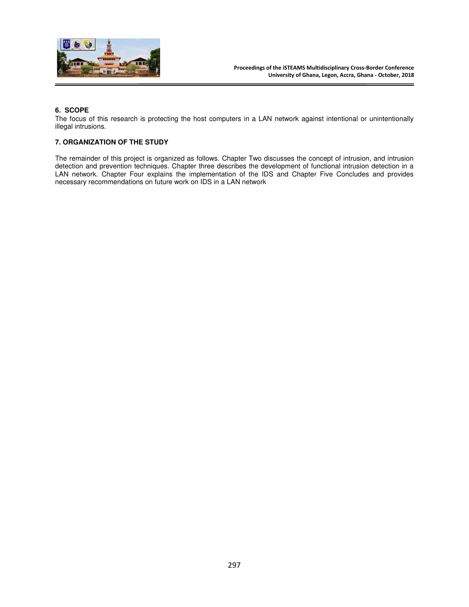

## **6. SCOPE**

The focus of this research is protecting the host computers in a LAN network against intentional or unintentionally illegal intrusions.

#### **7. ORGANIZATION OF THE STUDY**

The remainder of this project is organized as follows. Chapter Two discusses the concept of intrusion, and intrusion detection and prevention techniques. Chapter three describes the development of functional intrusion detection in a LAN network. Chapter Four explains the implementation of the IDS and Chapter Five Concludes and provides necessary recommendations on future work on IDS in a LAN network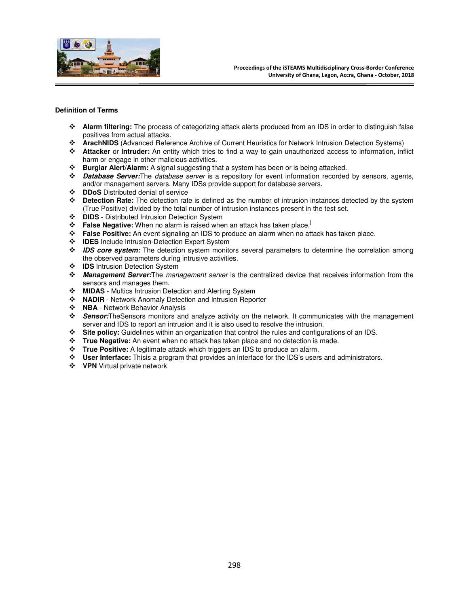

#### **Definition of Terms**

- **Alarm filtering:** The process of categorizing attack alerts produced from an IDS in order to distinguish false positives from actual attacks.
- **ArachNIDS** (Advanced Reference Archive of Current Heuristics for Network Intrusion Detection Systems)
- **Attacker** or **Intruder:** An entity which tries to find a way to gain unauthorized access to information, inflict harm or engage in other malicious activities.
- **Burglar Alert/Alarm:** A signal suggesting that a system has been or is being attacked.
- **Database Server:**The *database server* is a repository for event information recorded by sensors, agents, and/or management servers. Many IDSs provide support for database servers.
- **DDoS** Distributed denial of service
- **Detection Rate:** The detection rate is defined as the number of intrusion instances detected by the system (True Positive) divided by the total number of intrusion instances present in the test set.
- **DIDS** Distributed Intrusion Detection System
- **↑ False Negative:** When no alarm is raised when an attack has taken place.<sup>[1</sup>]
- **False Positive:** An event signaling an IDS to produce an alarm when no attack has taken place.
- **IDES** Include Intrusion-Detection Expert System
- **IDS core system:** The detection system monitors several parameters to determine the correlation among the observed parameters during intrusive activities.
- $\div$  **IDS** Intrusion Detection System
- **Management Server:**The *management server* is the centralized device that receives information from the sensors and manages them.
- **MIDAS** Multics Intrusion Detection and Alerting System<br> **•• NADIR** Network Anomaly Detection and Intrusion Repo
- **NADIR** Network Anomaly Detection and Intrusion Reporter
- **\*** NBA Network Behavior Analysis
- **Sensor:**TheSensors monitors and analyze activity on the network. It communicates with the management server and IDS to report an intrusion and it is also used to resolve the intrusion.
- **Site policy:** Guidelines within an organization that control the rules and configurations of an IDS.
- **True Negative:** An event when no attack has taken place and no detection is made.
- **True Positive:** A legitimate attack which triggers an IDS to produce an alarm.
- **User Interface:** Thisis a program that provides an interface for the IDS's users and administrators.
- **VPN** Virtual private network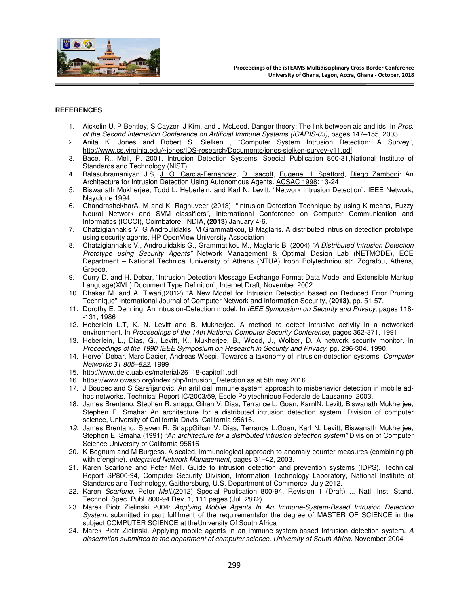

#### **REFERENCES**

- 1. Aickelin U, P Bentley, S Cayzer, J Kim, and J McLeod. Danger theory: The link between ais and ids. In *Proc. of the Second Internation Conference on Artificial Immune Systems (ICARIS-03)*, pages 147–155, 2003.
- 2. Anita K. Jones and Robert S. Sielken , "Computer System Intrusion Detection: A Survey", http://www.cs.virginia.edu/~jones/IDS-research/Documents/jones-sielken-survey-v11.pdf
- 3. Bace, R., Mell, P. 2001. Intrusion Detection Systems. Special Publication 800-31,National Institute of Standards and Technology (NIST).
- 4. Balasubramaniyan J.S, J. O. Garcia-Fernandez, D. Isacoff, Eugene H. Spafford, Diego Zamboni: An Architecture for Intrusion Detection Using Autonomous Agents. ACSAC 1998: 13-24
- 5. Biswanath Mukherjee, Todd L. Heberlein, and Karl N. Levitt, "Network Intrusion Detection", IEEE Network, May/June 1994
- 6. ChandrashekharA. M and K. Raghuveer (2013), "Intrusion Detection Technique by using K-means, Fuzzy Neural Network and SVM classifiers", International Conference on Computer Communication and Informatics (ICCCI), Coimbatore, INDIA, **(2013)** January 4-6.
- 7. Chatzigiannakis V, G Androulidakis, M Grammatikou, B Maglaris. A distributed intrusion detection prototype using security agents, HP OpenView University Association
- 8. Chatzigiannakis V., Androulidakis G., Grammatikou M., Maglaris B. (2004) *"A Distributed Intrusion Detection Prototype using Security Agents"* Network Management & Optimal Design Lab (NETMODE), ECE Department – National Technical University of Athens (NTUA) Iroon Polytechniou str. Zografou, Athens, Greece.
- 9. Curry D. and H. Debar, "Intrusion Detection Message Exchange Format Data Model and Extensible Markup Language(XML) Document Type Definition", Internet Draft, November 2002.
- 10. Dhakar M. and A. Tiwari,(2012) "A New Model for Intrusion Detection based on Reduced Error Pruning Technique" International Journal of Computer Network and Information Security, **(2013)**, pp. 51-57.
- 11. Dorothy E. Denning. An Intrusion-Detection model. In *IEEE Symposium on Security and Privacy*, pages 118- -131, 1986
- 12. Heberlein L.T, K. N. Levitt and B. Mukherjee. A method to detect intrusive activity in a networked environment. In *Proceedings of the 14th National Computer Security Conference*, pages 362-371, 1991
- 13. Heberlein, L., Dias, G., Levitt, K., Mukherjee, B., Wood, J., Wolber, D. A network security monitor. In *Proceedings of the 1990 IEEE Symposium on Research in Security and Privacy*. pp. 296-304. 1990.
- 14. Herve´ Debar, Marc Dacier, Andreas Wespi. Towards a taxonomy of intrusion-detection systems. *Computer Networks 31 805–822.* 1999
- 15. http://www.deic.uab.es/material/26118-capitol1.pdf
- 16. https://www.owasp.org/index.php/Intrusion\_Detection as at 5th may 2016
- 17. J Boudec and S Sarafijanovic. An artificial immune system approach to misbehavior detection in mobile adhoc networks. Technical Report IC/2003/59, Ecole Polytechnique Federale de Lausanne, 2003.
- 18. James Brentano, Stephen R. snapp, Gihan V. Dias, Terrance L. Goan, KarnlN. Levitt, Biswanath Mukherjee, Stephen E. Smaha: An architecture for a distributed intrusion detection system. Division of computer science, University of California Davis, California 95616.
- *19.* James Brentano, Steven R. SnappGihan V. Dias, Terrance L.Goan, Karl N. Levitt, Biswanath Mukherjee, Stephen E. Smaha (1991) *"An architecture for a distributed intrusion detection system"* Division of Computer Science University of California 95616
- 20. K Begnum and M Burgess. A scaled, immunological approach to anomaly counter measures (combining ph with cfengine). *Integrated Network Management*, pages 31–42, 2003.
- 21. Karen Scarfone and Peter Mell. Guide to intrusion detection and prevention systems (IDPS). Technical Report SP800-94, Computer Security Division, Information Technology Laboratory, National Institute of Standards and Technology, Gaithersburg, U.S. Department of Commerce, July 2012.
- 22. Karen *Scarfone*. Peter *Mell*.(2012) Special Publication 800-94. Revision 1 (Draft) ... Natl. Inst. Stand. Technol. Spec. Publ. 800-94 Rev. 1, 111 pages (Jul. *2012*).
- 23. Marek Piotr Zielinski 2004: *Applying Mobile Agents In An Immune-System-Based Intrusion Detection System;* submitted in part fulfilment of the requirementsfor the degree of MASTER OF SCIENCE in the subject COMPUTER SCIENCE at theUniversity Of South Africa
- 24. Marek Piotr Zielinski. Applying mobile agents In an immune-system-based Intrusion detection system. *A*  dissertation submitted to the department of computer science, University of South Africa. November 2004